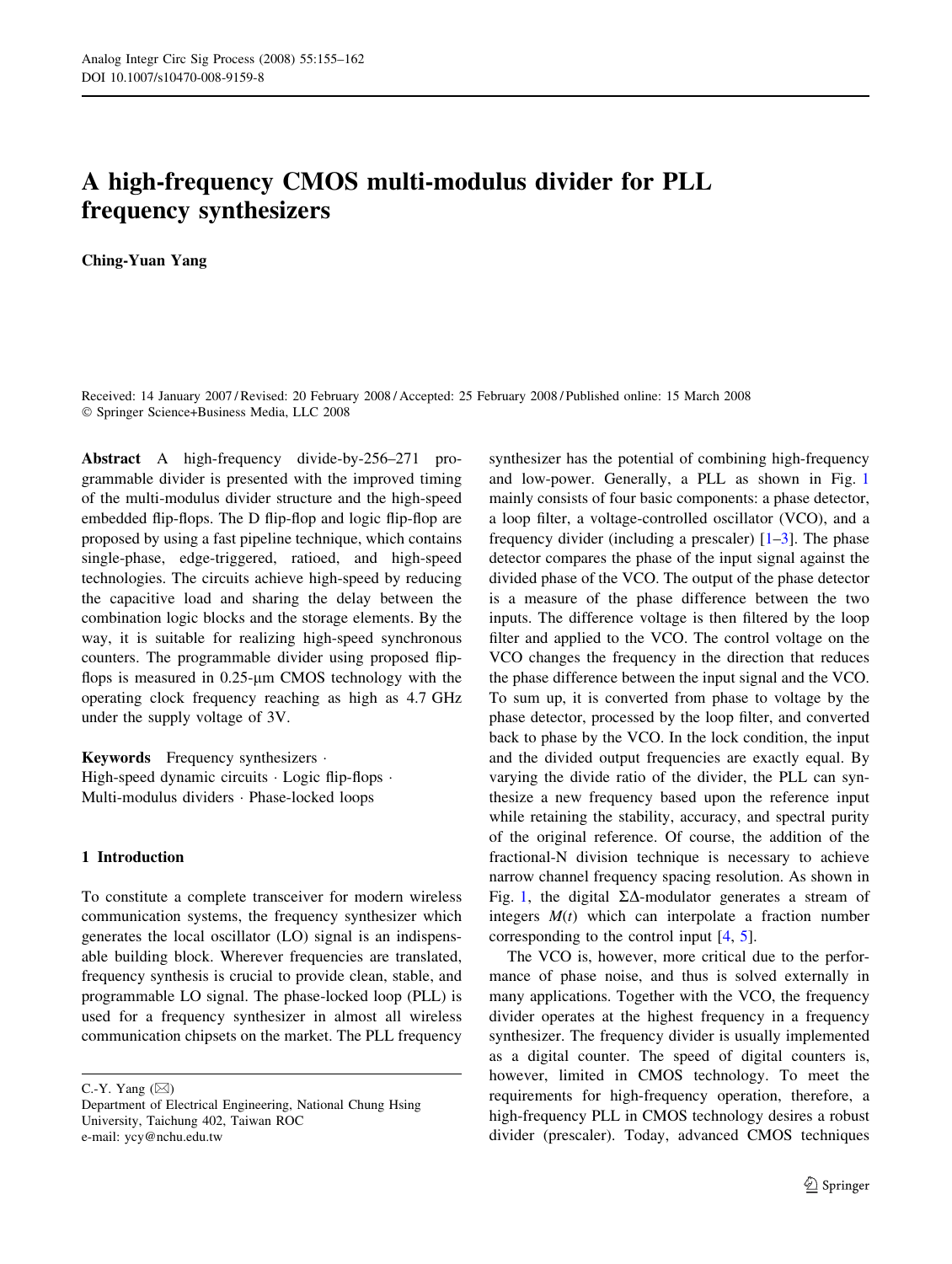# A high-frequency CMOS multi-modulus divider for PLL frequency synthesizers

Ching-Yuan Yang

Received: 14 January 2007 / Revised: 20 February 2008 / Accepted: 25 February 2008 / Published online: 15 March 2008 Springer Science+Business Media, LLC 2008

Abstract A high-frequency divide-by-256–271 programmable divider is presented with the improved timing of the multi-modulus divider structure and the high-speed embedded flip-flops. The D flip-flop and logic flip-flop are proposed by using a fast pipeline technique, which contains single-phase, edge-triggered, ratioed, and high-speed technologies. The circuits achieve high-speed by reducing the capacitive load and sharing the delay between the combination logic blocks and the storage elements. By the way, it is suitable for realizing high-speed synchronous counters. The programmable divider using proposed flipflops is measured in  $0.25$ - $\mu$ m CMOS technology with the operating clock frequency reaching as high as 4.7 GHz under the supply voltage of 3V.

Keywords Frequency synthesizers . High-speed dynamic circuits  $\cdot$  Logic flip-flops  $\cdot$ Multi-modulus dividers · Phase-locked loops

## 1 Introduction

To constitute a complete transceiver for modern wireless communication systems, the frequency synthesizer which generates the local oscillator (LO) signal is an indispensable building block. Wherever frequencies are translated, frequency synthesis is crucial to provide clean, stable, and programmable LO signal. The phase-locked loop (PLL) is used for a frequency synthesizer in almost all wireless communication chipsets on the market. The PLL frequency

C.-Y. Yang  $(\boxtimes)$ 

synthesizer has the potential of combining high-frequency and low-power. Generally, a PLL as shown in Fig. [1](#page-1-0) mainly consists of four basic components: a phase detector, a loop filter, a voltage-controlled oscillator (VCO), and a frequency divider (including a prescaler)  $[1-3]$ . The phase detector compares the phase of the input signal against the divided phase of the VCO. The output of the phase detector is a measure of the phase difference between the two inputs. The difference voltage is then filtered by the loop filter and applied to the VCO. The control voltage on the VCO changes the frequency in the direction that reduces the phase difference between the input signal and the VCO. To sum up, it is converted from phase to voltage by the phase detector, processed by the loop filter, and converted back to phase by the VCO. In the lock condition, the input and the divided output frequencies are exactly equal. By varying the divide ratio of the divider, the PLL can synthesize a new frequency based upon the reference input while retaining the stability, accuracy, and spectral purity of the original reference. Of course, the addition of the fractional-N division technique is necessary to achieve narrow channel frequency spacing resolution. As shown in Fig. [1](#page-1-0), the digital  $\Sigma\Delta$ -modulator generates a stream of integers  $M(t)$  which can interpolate a fraction number corresponding to the control input [\[4](#page-7-0), [5](#page-7-0)].

The VCO is, however, more critical due to the performance of phase noise, and thus is solved externally in many applications. Together with the VCO, the frequency divider operates at the highest frequency in a frequency synthesizer. The frequency divider is usually implemented as a digital counter. The speed of digital counters is, however, limited in CMOS technology. To meet the requirements for high-frequency operation, therefore, a high-frequency PLL in CMOS technology desires a robust divider (prescaler). Today, advanced CMOS techniques

Department of Electrical Engineering, National Chung Hsing University, Taichung 402, Taiwan ROC e-mail: ycy@nchu.edu.tw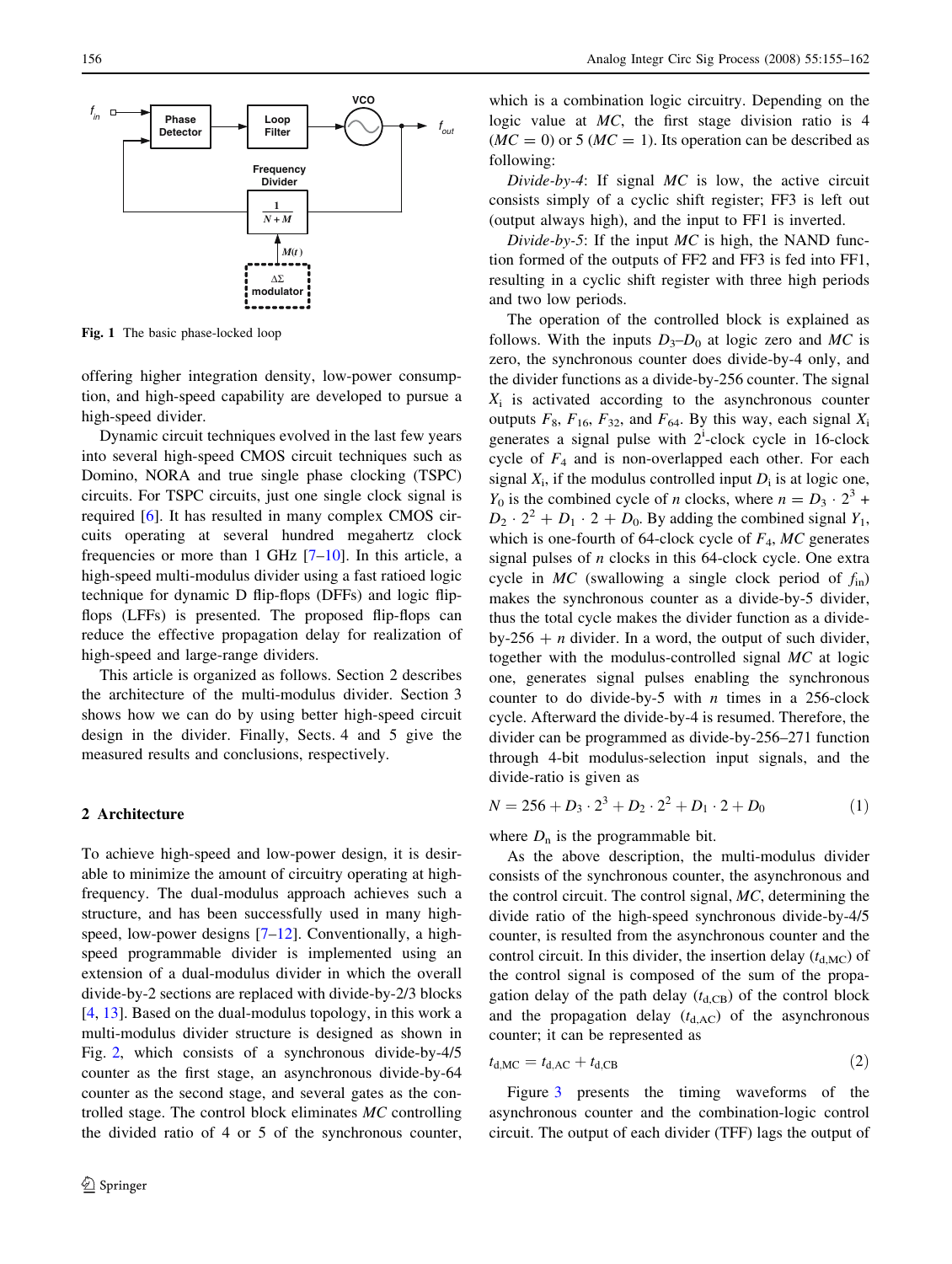<span id="page-1-0"></span>

Fig. 1 The basic phase-locked loop

offering higher integration density, low-power consumption, and high-speed capability are developed to pursue a high-speed divider.

Dynamic circuit techniques evolved in the last few years into several high-speed CMOS circuit techniques such as Domino, NORA and true single phase clocking (TSPC) circuits. For TSPC circuits, just one single clock signal is required [\[6](#page-7-0)]. It has resulted in many complex CMOS circuits operating at several hundred megahertz clock frequencies or more than 1 GHz  $[7-10]$ . In this article, a high-speed multi-modulus divider using a fast ratioed logic technique for dynamic D flip-flops (DFFs) and logic flipflops (LFFs) is presented. The proposed flip-flops can reduce the effective propagation delay for realization of high-speed and large-range dividers.

This article is organized as follows. Section 2 describes the architecture of the multi-modulus divider. Section 3 shows how we can do by using better high-speed circuit design in the divider. Finally, Sects. 4 and 5 give the measured results and conclusions, respectively.

# 2 Architecture

To achieve high-speed and low-power design, it is desirable to minimize the amount of circuitry operating at highfrequency. The dual-modulus approach achieves such a structure, and has been successfully used in many high-speed, low-power designs [\[7–12](#page-7-0)]. Conventionally, a highspeed programmable divider is implemented using an extension of a dual-modulus divider in which the overall divide-by-2 sections are replaced with divide-by-2/3 blocks [\[4](#page-7-0), [13](#page-7-0)]. Based on the dual-modulus topology, in this work a multi-modulus divider structure is designed as shown in Fig. [2](#page-2-0), which consists of a synchronous divide-by-4/5 counter as the first stage, an asynchronous divide-by-64 counter as the second stage, and several gates as the controlled stage. The control block eliminates MC controlling the divided ratio of 4 or 5 of the synchronous counter,

which is a combination logic circuitry. Depending on the logic value at MC, the first stage division ratio is 4  $(MC = 0)$  or 5  $(MC = 1)$ . Its operation can be described as following:

Divide-by-4: If signal  $MC$  is low, the active circuit consists simply of a cyclic shift register; FF3 is left out (output always high), and the input to FF1 is inverted.

Divide-by-5: If the input  $MC$  is high, the NAND function formed of the outputs of FF2 and FF3 is fed into FF1, resulting in a cyclic shift register with three high periods and two low periods.

The operation of the controlled block is explained as follows. With the inputs  $D_3-D_0$  at logic zero and MC is zero, the synchronous counter does divide-by-4 only, and the divider functions as a divide-by-256 counter. The signal  $X_i$  is activated according to the asynchronous counter outputs  $F_8$ ,  $F_{16}$ ,  $F_{32}$ , and  $F_{64}$ . By this way, each signal  $X_i$ generates a signal pulse with  $2^i$ -clock cycle in 16-clock cycle of  $F_4$  and is non-overlapped each other. For each signal  $X_i$ , if the modulus controlled input  $D_i$  is at logic one,  $Y_0$  is the combined cycle of *n* clocks, where  $n = D_3 \cdot 2^3 + D_2$  $D_2 \cdot 2^2 + D_1 \cdot 2 + D_0$ . By adding the combined signal  $Y_1$ , which is one-fourth of 64-clock cycle of  $F_4$ , MC generates signal pulses of  $n$  clocks in this 64-clock cycle. One extra cycle in MC (swallowing a single clock period of  $f_{in}$ ) makes the synchronous counter as a divide-by-5 divider, thus the total cycle makes the divider function as a divideby-256  $+ n$  divider. In a word, the output of such divider, together with the modulus-controlled signal MC at logic one, generates signal pulses enabling the synchronous counter to do divide-by-5 with  $n$  times in a 256-clock cycle. Afterward the divide-by-4 is resumed. Therefore, the divider can be programmed as divide-by-256–271 function through 4-bit modulus-selection input signals, and the divide-ratio is given as

$$
N = 256 + D_3 \cdot 2^3 + D_2 \cdot 2^2 + D_1 \cdot 2 + D_0 \tag{1}
$$

where  $D_n$  is the programmable bit.

As the above description, the multi-modulus divider consists of the synchronous counter, the asynchronous and the control circuit. The control signal, MC, determining the divide ratio of the high-speed synchronous divide-by-4/5 counter, is resulted from the asynchronous counter and the control circuit. In this divider, the insertion delay  $(t_{d,MC})$  of the control signal is composed of the sum of the propagation delay of the path delay  $(t_{d,CB})$  of the control block and the propagation delay  $(t_{d,AC})$  of the asynchronous counter; it can be represented as

$$
t_{\rm d,MC} = t_{\rm d,AC} + t_{\rm d,CB} \tag{2}
$$

Figure [3](#page-2-0) presents the timing waveforms of the asynchronous counter and the combination-logic control circuit. The output of each divider (TFF) lags the output of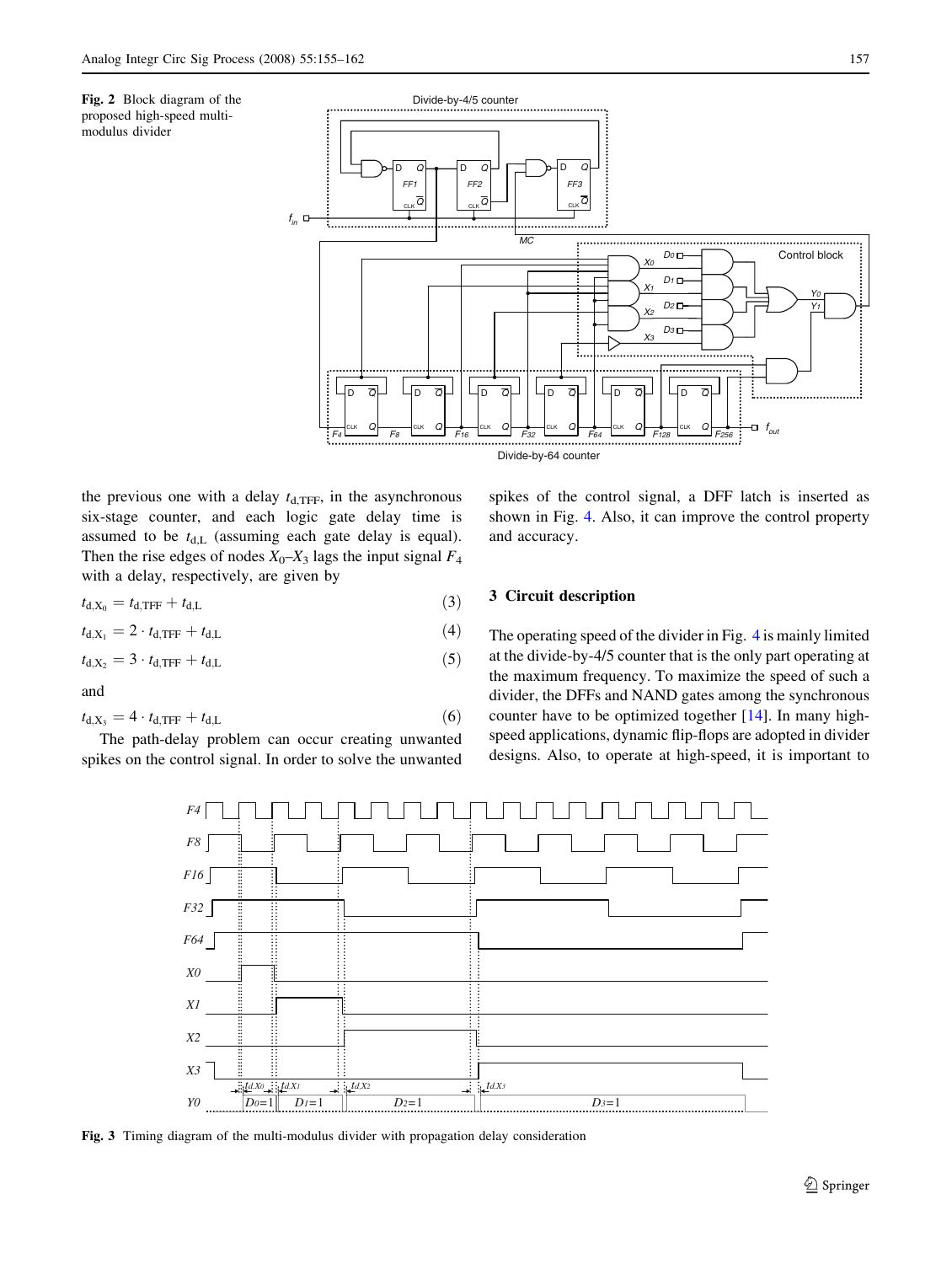<span id="page-2-0"></span>



the previous one with a delay  $t_{d,\text{TFF}}$ , in the asynchronous six-stage counter, and each logic gate delay time is assumed to be  $t_{d,L}$  (assuming each gate delay is equal). Then the rise edges of nodes  $X_0$ – $X_3$  lags the input signal  $F_4$ with a delay, respectively, are given by

$$
t_{\rm d,X_0}=t_{\rm d,TFF}+t_{\rm d,L} \tag{3}
$$

$$
t_{\rm d,X_1} = 2 \cdot t_{\rm d,TFF} + t_{\rm d,L} \tag{4}
$$

$$
t_{\rm d,X_2} = 3 \cdot t_{\rm d,TFF} + t_{\rm d,L} \tag{5}
$$

and

$$
t_{\rm d,X_3} = 4 \cdot t_{\rm d,TFF} + t_{\rm d,L} \tag{6}
$$

The path-delay problem can occur creating unwanted spikes on the control signal. In order to solve the unwanted spikes of the control signal, a DFF latch is inserted as shown in Fig. [4](#page-3-0). Also, it can improve the control property and accuracy.

# 3 Circuit description

The operating speed of the divider in Fig. [4](#page-3-0) is mainly limited at the divide-by-4/5 counter that is the only part operating at the maximum frequency. To maximize the speed of such a divider, the DFFs and NAND gates among the synchronous counter have to be optimized together [\[14](#page-7-0)]. In many highspeed applications, dynamic flip-flops are adopted in divider designs. Also, to operate at high-speed, it is important to



Fig. 3 Timing diagram of the multi-modulus divider with propagation delay consideration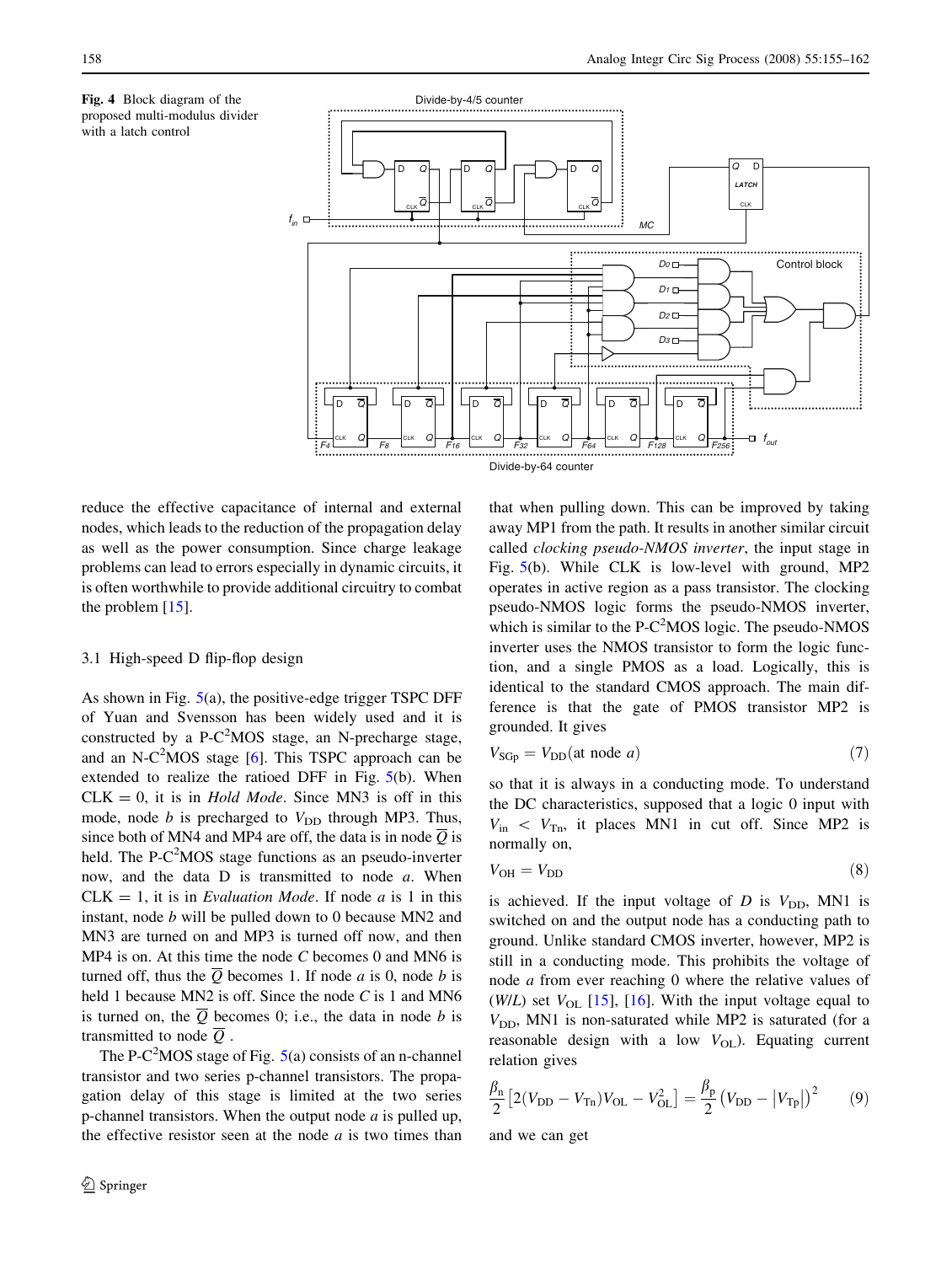<span id="page-3-0"></span>



reduce the effective capacitance of internal and external nodes, which leads to the reduction of the propagation delay as well as the power consumption. Since charge leakage problems can lead to errors especially in dynamic circuits, it is often worthwhile to provide additional circuitry to combat the problem [[15\]](#page-7-0).

## 3.1 High-speed D flip-flop design

As shown in Fig. [5\(](#page-4-0)a), the positive-edge trigger TSPC DFF of Yuan and Svensson has been widely used and it is constructed by a P-C<sup>2</sup>MOS stage, an N-precharge stage, and an N-C<sup>2</sup>MOS stage  $[6]$  $[6]$ . This TSPC approach can be extended to realize the ratioed DFF in Fig. [5](#page-4-0)(b). When  $CLK = 0$ , it is in *Hold Mode*. Since MN3 is off in this mode, node  $b$  is precharged to  $V_{\text{DD}}$  through MP3. Thus, since both of MN4 and MP4 are off, the data is in node  $\overline{Q}$  is held. The P- $C^2$ MOS stage functions as an pseudo-inverter now, and the data D is transmitted to node a. When  $CLK = 1$ , it is in *Evaluation Mode*. If node *a* is 1 in this instant, node b will be pulled down to 0 because MN2 and MN3 are turned on and MP3 is turned off now, and then  $MP4$  is on. At this time the node C becomes 0 and MN6 is turned off, thus the  $\overline{Q}$  becomes 1. If node a is 0, node b is held 1 because MN2 is off. Since the node C is 1 and MN6 is turned on, the  $\overline{Q}$  becomes 0; i.e., the data in node b is transmitted to node  $\overline{O}$ .

The P-C<sup>2</sup>MOS stage of Fig.  $5(a)$  $5(a)$  consists of an n-channel transistor and two series p-channel transistors. The propagation delay of this stage is limited at the two series p-channel transistors. When the output node  $a$  is pulled up, the effective resistor seen at the node  $a$  is two times than that when pulling down. This can be improved by taking away MP1 from the path. It results in another similar circuit called clocking pseudo-NMOS inverter, the input stage in Fig. [5](#page-4-0)(b). While CLK is low-level with ground, MP2 operates in active region as a pass transistor. The clocking pseudo-NMOS logic forms the pseudo-NMOS inverter, which is similar to the  $P-C<sup>2</sup>MOS$  logic. The pseudo-NMOS inverter uses the NMOS transistor to form the logic function, and a single PMOS as a load. Logically, this is identical to the standard CMOS approach. The main difference is that the gate of PMOS transistor MP2 is grounded. It gives

$$
V_{\rm SQp} = V_{\rm DD}(\text{at node } a) \tag{7}
$$

so that it is always in a conducting mode. To understand the DC characteristics, supposed that a logic 0 input with  $V_{\text{in}} < V_{\text{Tn}}$ , it places MN1 in cut off. Since MP2 is normally on,

$$
V_{\text{OH}} = V_{\text{DD}} \tag{8}
$$

is achieved. If the input voltage of D is  $V_{\text{DD}}$ , MN1 is switched on and the output node has a conducting path to ground. Unlike standard CMOS inverter, however, MP2 is still in a conducting mode. This prohibits the voltage of node a from ever reaching 0 where the relative values of (W/L) set  $V_{\text{OL}}$  [\[15](#page-7-0)], [\[16](#page-7-0)]. With the input voltage equal to  $V_{\text{DD}}$ , MN1 is non-saturated while MP2 is saturated (for a reasonable design with a low  $V_{\text{OL}}$ ). Equating current relation gives

$$
\frac{\beta_{\rm n}}{2} \left[ 2(V_{\rm DD} - V_{\rm Tn}) V_{\rm OL} - V_{\rm OL}^2 \right] = \frac{\beta_{\rm p}}{2} \left( V_{\rm DD} - \left| V_{\rm Tp} \right| \right)^2 \tag{9}
$$

and we can get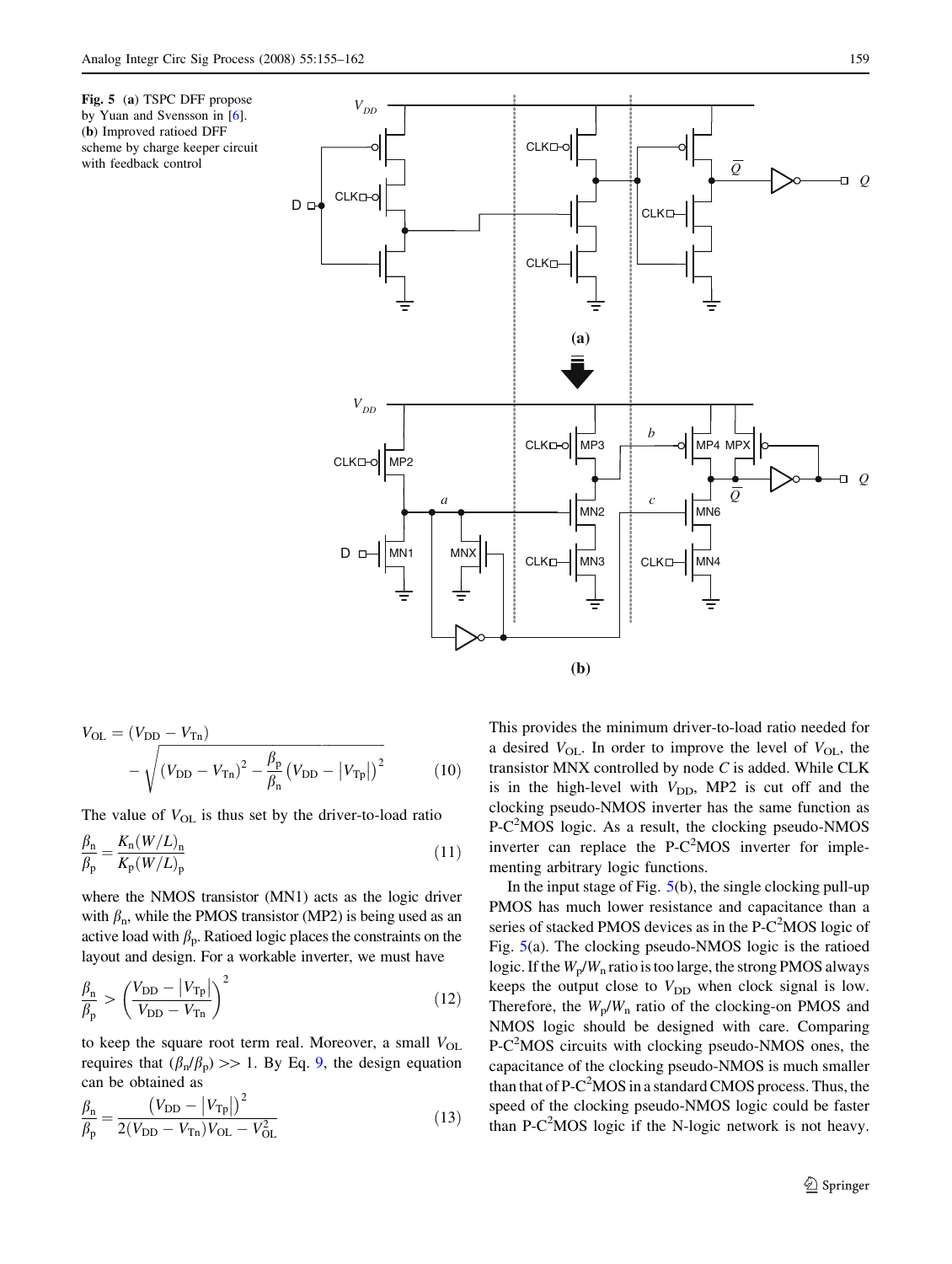(b) Improved ratioed DFF

with feedback control

<span id="page-4-0"></span>

$$
V_{\text{OL}} = (V_{\text{DD}} - V_{\text{Th}}) - \sqrt{(V_{\text{DD}} - V_{\text{Th}})^2 - \frac{\beta_{\text{p}}}{\beta_{\text{n}}}(V_{\text{DD}} - |V_{\text{Th}}|)^2}
$$
(10)

The value of  $V_{OL}$  is thus set by the driver-to-load ratio

$$
\frac{\beta_{\rm n}}{\beta_{\rm p}} = \frac{K_{\rm n}(W/L)_{\rm n}}{K_{\rm p}(W/L)_{\rm p}}\tag{11}
$$

where the NMOS transistor (MN1) acts as the logic driver with  $\beta_n$ , while the PMOS transistor (MP2) is being used as an active load with  $\beta_{\rm p}$ . Ratioed logic places the constraints on the layout and design. For a workable inverter, we must have

$$
\frac{\beta_{\rm n}}{\beta_{\rm p}} > \left(\frac{V_{\rm DD} - |V_{\rm Tp}|}{V_{\rm DD} - V_{\rm Tn}}\right)^2 \tag{12}
$$

to keep the square root term real. Moreover, a small  $V_{OL}$ requires that  $(\beta_n/\beta_p) \gg 1$ . By Eq. [9](#page-3-0), the design equation can be obtained as

$$
\frac{\beta_{\rm n}}{\beta_{\rm p}} = \frac{\left(V_{\rm DD} - \left|V_{\rm Tp}\right|\right)^2}{2\left(V_{\rm DD} - V_{\rm Tn}\right)V_{\rm OL} - V_{\rm OL}^2}
$$
\n(13)

This provides the minimum driver-to-load ratio needed for a desired  $V_{\text{OL}}$ . In order to improve the level of  $V_{\text{OL}}$ , the transistor MNX controlled by node  $C$  is added. While CLK is in the high-level with  $V_{DD}$ , MP2 is cut off and the clocking pseudo-NMOS inverter has the same function as P-C<sup>2</sup>MOS logic. As a result, the clocking pseudo-NMOS inverter can replace the  $P-C<sup>2</sup>MOS$  inverter for implementing arbitrary logic functions.

In the input stage of Fig.  $5(b)$ , the single clocking pull-up PMOS has much lower resistance and capacitance than a series of stacked PMOS devices as in the  $P-C<sup>2</sup>MOS$  logic of Fig. 5(a). The clocking pseudo-NMOS logic is the ratioed logic. If the  $W_p/W_n$  ratio is too large, the strong PMOS always keeps the output close to  $V_{\text{DD}}$  when clock signal is low. Therefore, the  $W_p/W_n$  ratio of the clocking-on PMOS and NMOS logic should be designed with care. Comparing P-C<sup>2</sup>MOS circuits with clocking pseudo-NMOS ones, the capacitance of the clocking pseudo-NMOS is much smaller than that of  $P-C^2MOS$  in a standard CMOS process. Thus, the speed of the clocking pseudo-NMOS logic could be faster than P-C<sup>2</sup>MOS logic if the N-logic network is not heavy.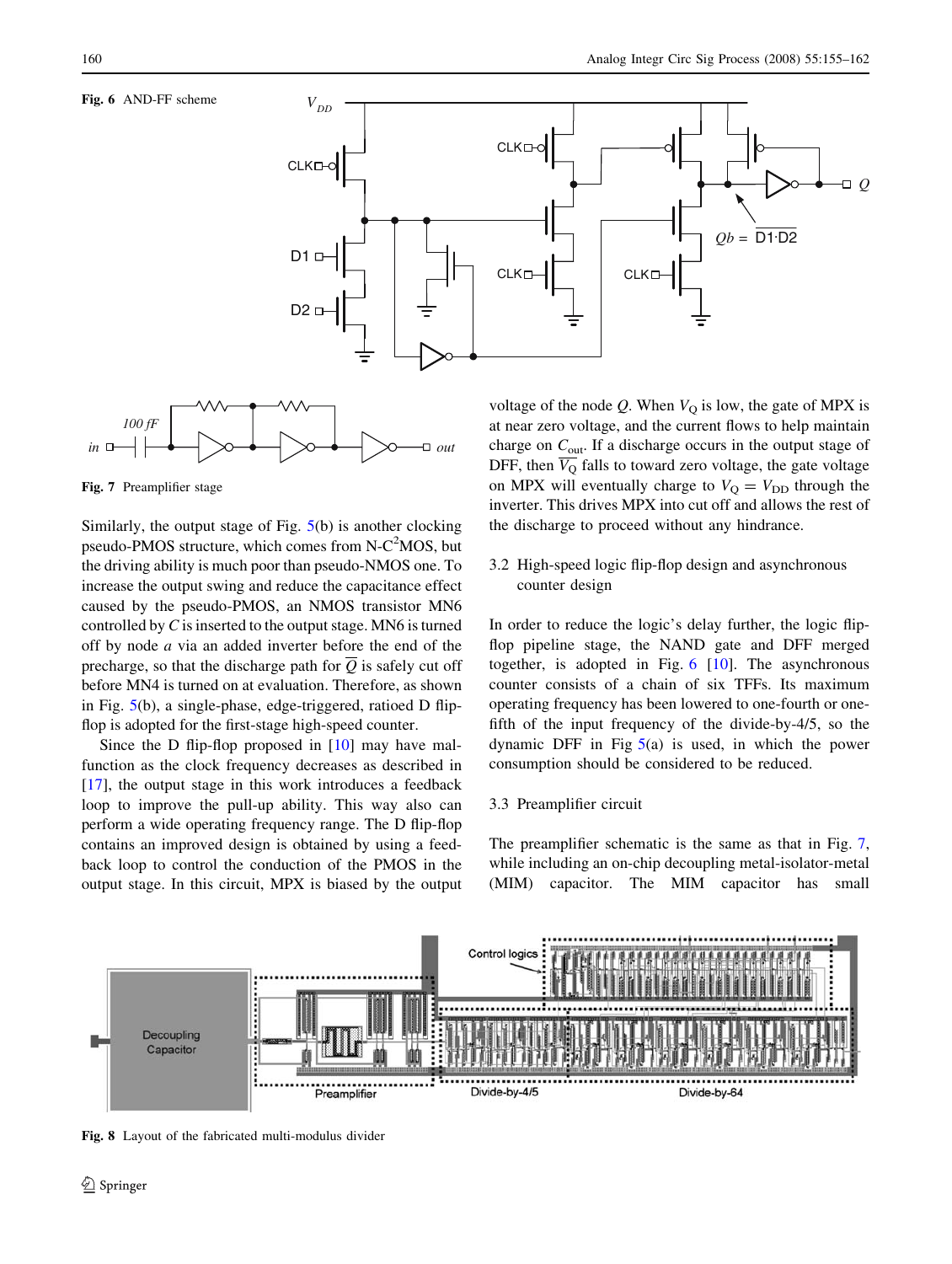<span id="page-5-0"></span>





Fig. 7 Preamplifier stage

Similarly, the output stage of Fig. [5](#page-4-0)(b) is another clocking pseudo-PMOS structure, which comes from  $N-C<sup>2</sup>MOS$ , but the driving ability is much poor than pseudo-NMOS one. To increase the output swing and reduce the capacitance effect caused by the pseudo-PMOS, an NMOS transistor MN6 controlled by  $C$  is inserted to the output stage. MN6 is turned off by node a via an added inverter before the end of the precharge, so that the discharge path for  $\overline{Q}$  is safely cut off before MN4 is turned on at evaluation. Therefore, as shown in Fig. [5](#page-4-0)(b), a single-phase, edge-triggered, ratioed D flipflop is adopted for the first-stage high-speed counter.

Since the D flip-flop proposed in [[10\]](#page-7-0) may have malfunction as the clock frequency decreases as described in [\[17](#page-7-0)], the output stage in this work introduces a feedback loop to improve the pull-up ability. This way also can perform a wide operating frequency range. The D flip-flop contains an improved design is obtained by using a feedback loop to control the conduction of the PMOS in the output stage. In this circuit, MPX is biased by the output

voltage of the node  $Q$ . When  $V<sub>O</sub>$  is low, the gate of MPX is at near zero voltage, and the current flows to help maintain charge on  $C_{\text{out}}$ . If a discharge occurs in the output stage of DFF, then  $\overline{V_{Q}}$  falls to toward zero voltage, the gate voltage on MPX will eventually charge to  $V_{\rm Q} = V_{\rm DD}$  through the inverter. This drives MPX into cut off and allows the rest of the discharge to proceed without any hindrance.

# 3.2 High-speed logic flip-flop design and asynchronous counter design

In order to reduce the logic's delay further, the logic flipflop pipeline stage, the NAND gate and DFF merged together, is adopted in Fig.  $6 \,$  [[10\]](#page-7-0). The asynchronous counter consists of a chain of six TFFs. Its maximum operating frequency has been lowered to one-fourth or onefifth of the input frequency of the divide-by-4/5, so the dynamic DFF in Fig  $5(a)$  $5(a)$  is used, in which the power consumption should be considered to be reduced.

# 3.3 Preamplifier circuit

The preamplifier schematic is the same as that in Fig. 7, while including an on-chip decoupling metal-isolator-metal (MIM) capacitor. The MIM capacitor has small



Fig. 8 Layout of the fabricated multi-modulus divider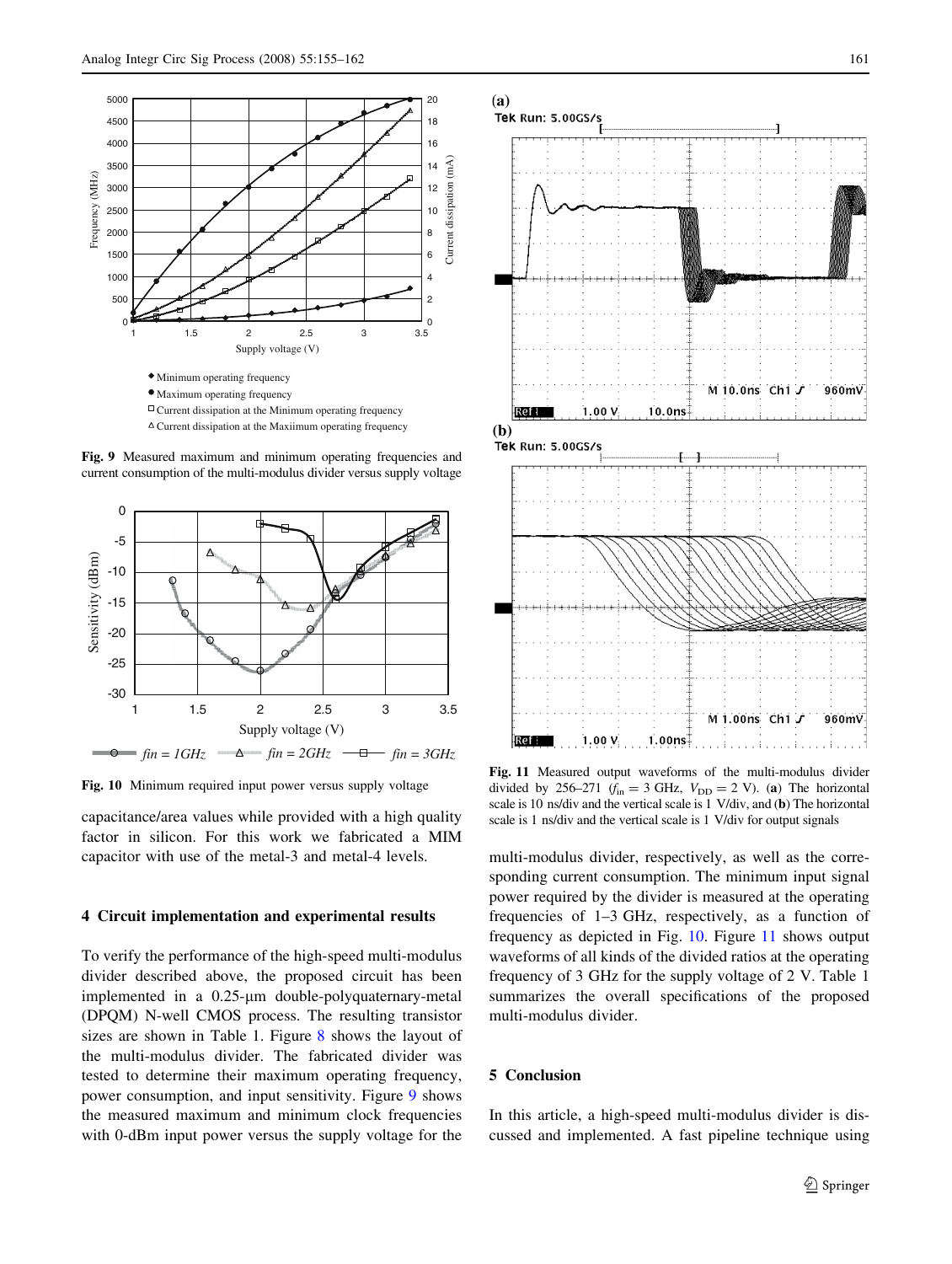

Fig. 9 Measured maximum and minimum operating frequencies and current consumption of the multi-modulus divider versus supply voltage



Fig. 10 Minimum required input power versus supply voltage

capacitance/area values while provided with a high quality factor in silicon. For this work we fabricated a MIM capacitor with use of the metal-3 and metal-4 levels.

#### 4 Circuit implementation and experimental results

To verify the performance of the high-speed multi-modulus divider described above, the proposed circuit has been implemented in a  $0.25$ - $\mu$ m double-polyquaternary-metal (DPQM) N-well CMOS process. The resulting transistor sizes are shown in Table 1. Figure [8](#page-5-0) shows the layout of the multi-modulus divider. The fabricated divider was tested to determine their maximum operating frequency, power consumption, and input sensitivity. Figure 9 shows the measured maximum and minimum clock frequencies with 0-dBm input power versus the supply voltage for the



Fig. 11 Measured output waveforms of the multi-modulus divider divided by 256–271 ( $f_{in} = 3$  GHz,  $V_{DD} = 2$  V). (a) The horizontal scale is 10 ns/div and the vertical scale is 1 V/div, and (b) The horizontal scale is 1 ns/div and the vertical scale is 1 V/div for output signals

multi-modulus divider, respectively, as well as the corresponding current consumption. The minimum input signal power required by the divider is measured at the operating frequencies of 1–3 GHz, respectively, as a function of frequency as depicted in Fig. 10. Figure 11 shows output waveforms of all kinds of the divided ratios at the operating frequency of 3 GHz for the supply voltage of 2 V. Table 1 summarizes the overall specifications of the proposed multi-modulus divider.

# 5 Conclusion

In this article, a high-speed multi-modulus divider is discussed and implemented. A fast pipeline technique using